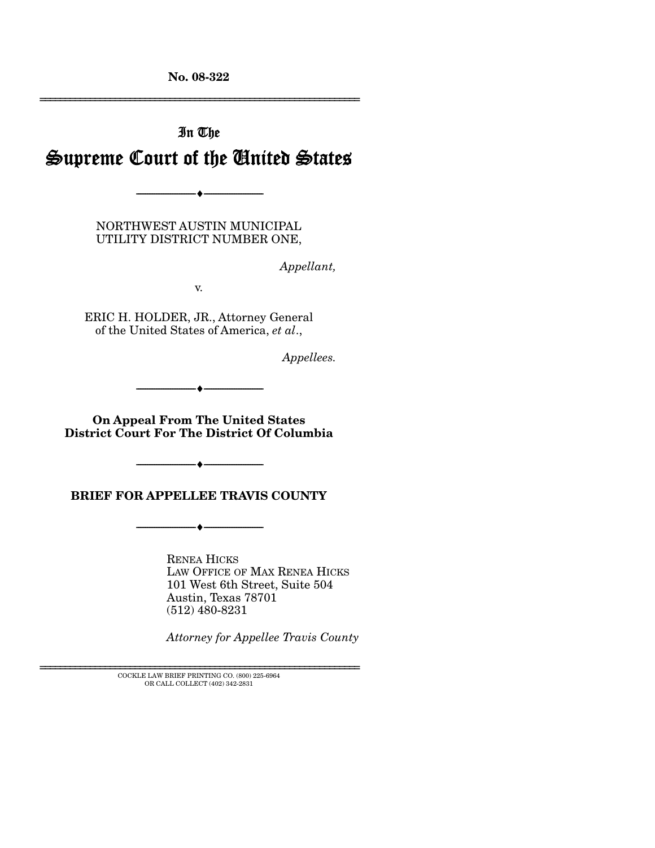**No. 08-322**  ================================================================

# In The Supreme Court of the United States

NORTHWEST AUSTIN MUNICIPAL UTILITY DISTRICT NUMBER ONE,

--------------------------------- ♦ ---------------------------------

*Appellant,* 

v.

ERIC H. HOLDER, JR., Attorney General of the United States of America, *et al*.,

*Appellees.* 

--------------------------------- ♦ ---------------------------------

**On Appeal From The United States District Court For The District Of Columbia** 

**BRIEF FOR APPELLEE TRAVIS COUNTY** 

--------------------------------- ♦ ---------------------------------

 $\bullet$   $-$ 

RENEA HICKS LAW OFFICE OF MAX RENEA HICKS 101 West 6th Street, Suite 504 Austin, Texas 78701 (512) 480-8231

*Attorney for Appellee Travis County* 

 ${\rm COCKLE}$  LAW BRIEF PRINTING CO. (800) 225-6964 OR CALL COLLECT (402) 342-2831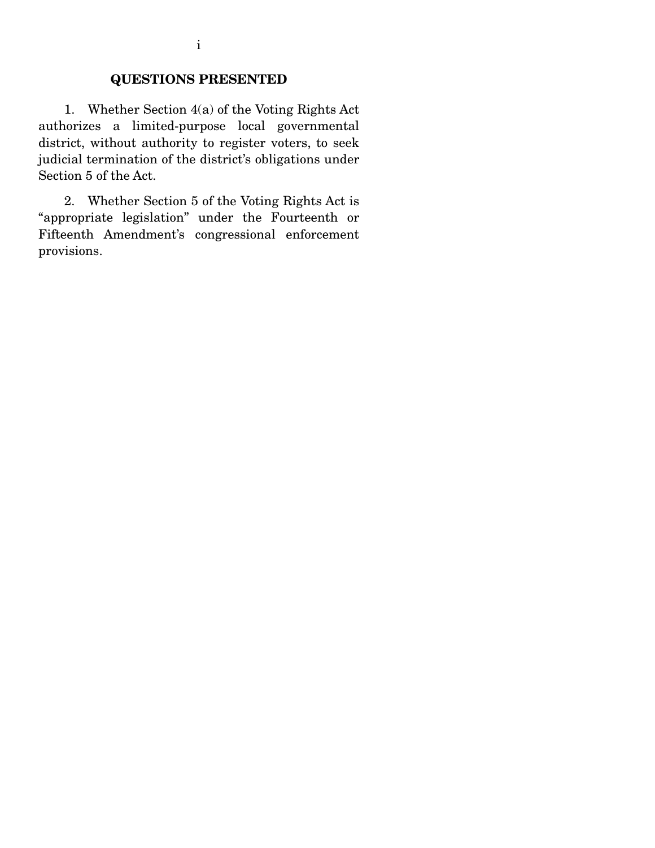### **QUESTIONS PRESENTED**

 1. Whether Section 4(a) of the Voting Rights Act authorizes a limited-purpose local governmental district, without authority to register voters, to seek judicial termination of the district's obligations under Section 5 of the Act.

 2. Whether Section 5 of the Voting Rights Act is "appropriate legislation" under the Fourteenth or Fifteenth Amendment's congressional enforcement provisions.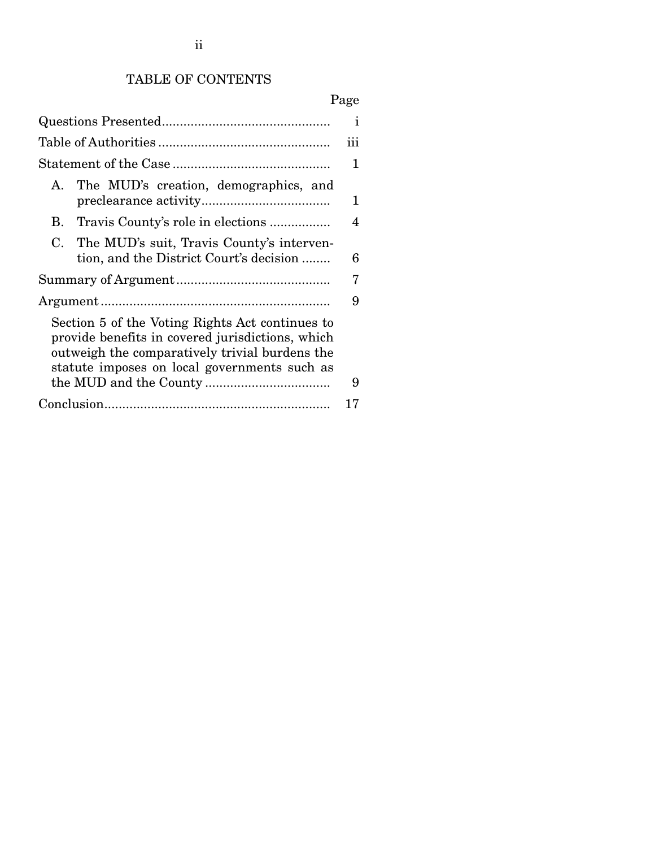# TABLE OF CONTENTS

# Page

|                                                                                                                                                                                                       | $\mathbf{i}$ |
|-------------------------------------------------------------------------------------------------------------------------------------------------------------------------------------------------------|--------------|
|                                                                                                                                                                                                       | iii          |
|                                                                                                                                                                                                       | $\mathbf{1}$ |
| The MUD's creation, demographics, and<br>$A_{\cdot}$                                                                                                                                                  | 1            |
| B. Travis County's role in elections                                                                                                                                                                  | 4            |
| The MUD's suit, Travis County's interven-<br>C.<br>tion, and the District Court's decision                                                                                                            | 6            |
|                                                                                                                                                                                                       | 7            |
|                                                                                                                                                                                                       | 9            |
| Section 5 of the Voting Rights Act continues to<br>provide benefits in covered jurisdictions, which<br>outweigh the comparatively trivial burdens the<br>statute imposes on local governments such as | 9            |
|                                                                                                                                                                                                       | 17           |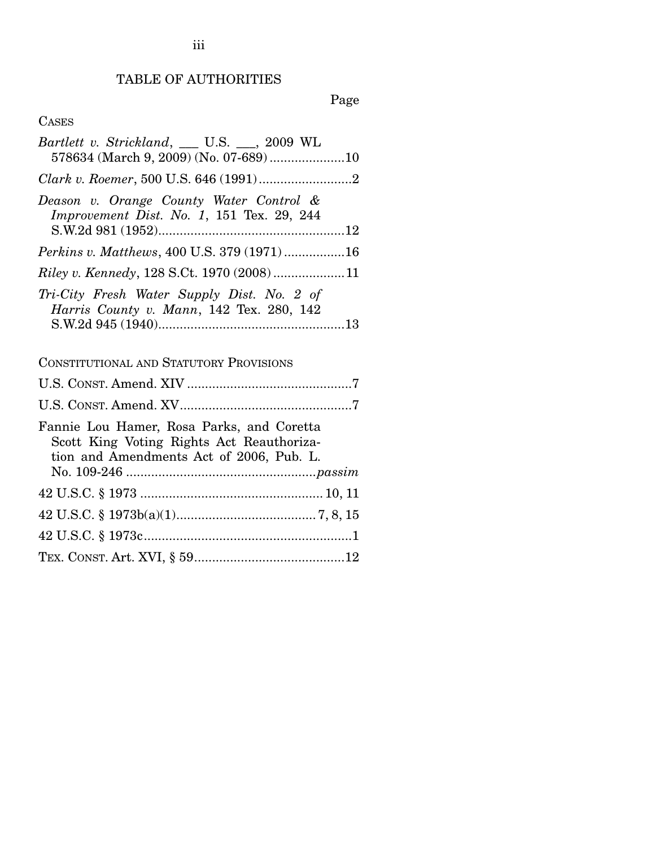# TABLE OF AUTHORITIES

# Page

### CASES

| Bartlett v. Strickland, __ U.S. __, 2009 WL<br>578634 (March 9, 2009) (No. 07-689) 10                                              |
|------------------------------------------------------------------------------------------------------------------------------------|
|                                                                                                                                    |
| Deason v. Orange County Water Control &<br>Improvement Dist. No. 1, 151 Tex. 29, 244                                               |
| Perkins v. Matthews, 400 U.S. 379 (1971)16                                                                                         |
| Riley v. Kennedy, 128 S.Ct. 1970 (2008) 11                                                                                         |
| Tri-City Fresh Water Supply Dist. No. 2 of<br>Harris County v. Mann, 142 Tex. 280, 142                                             |
| <b>CONSTITUTIONAL AND STATUTORY PROVISIONS</b>                                                                                     |
|                                                                                                                                    |
|                                                                                                                                    |
| Fannie Lou Hamer, Rosa Parks, and Coretta<br>Scott King Voting Rights Act Reauthoriza-<br>tion and Amendments Act of 2006, Pub. L. |
|                                                                                                                                    |
|                                                                                                                                    |
|                                                                                                                                    |
|                                                                                                                                    |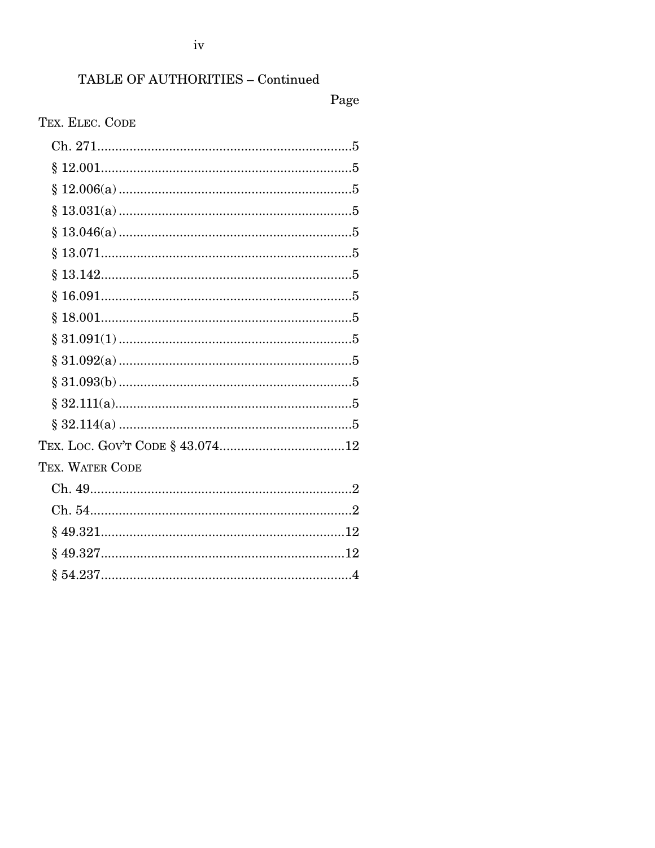### TABLE OF AUTHORITIES - Continued

### Page

### TEX. ELEC. CODE

| §.              |  |
|-----------------|--|
|                 |  |
|                 |  |
|                 |  |
|                 |  |
|                 |  |
|                 |  |
|                 |  |
|                 |  |
| TEX. WATER CODE |  |
|                 |  |
|                 |  |
|                 |  |
|                 |  |
|                 |  |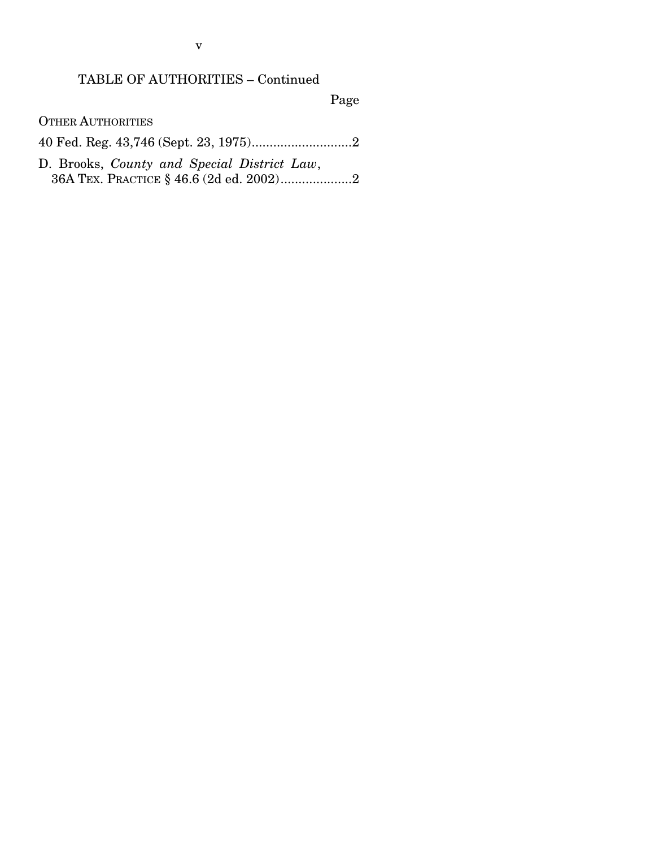### TABLE OF AUTHORITIES – Continued

Page

OTHER AUTHORITIES

40 Fed. Reg. 43,746 (Sept. 23, 1975)............................2

D. Brooks, *County and Special District Law*, 36A TEX. PRACTICE § 46.6 (2d ed. 2002)....................2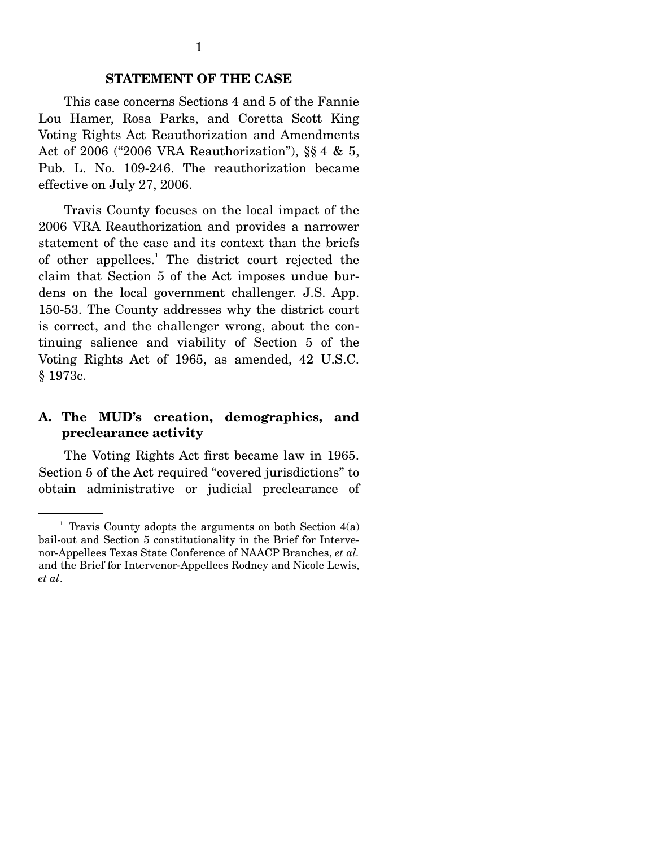#### **STATEMENT OF THE CASE**

 This case concerns Sections 4 and 5 of the Fannie Lou Hamer, Rosa Parks, and Coretta Scott King Voting Rights Act Reauthorization and Amendments Act of 2006 ("2006 VRA Reauthorization"), §§ 4 & 5, Pub. L. No. 109-246. The reauthorization became effective on July 27, 2006.

 Travis County focuses on the local impact of the 2006 VRA Reauthorization and provides a narrower statement of the case and its context than the briefs of other appellees.<sup>1</sup> The district court rejected the claim that Section 5 of the Act imposes undue burdens on the local government challenger. J.S. App. 150-53. The County addresses why the district court is correct, and the challenger wrong, about the continuing salience and viability of Section 5 of the Voting Rights Act of 1965, as amended, 42 U.S.C. § 1973c.

#### **A. The MUD's creation, demographics, and preclearance activity**

 The Voting Rights Act first became law in 1965. Section 5 of the Act required "covered jurisdictions" to obtain administrative or judicial preclearance of

<sup>&</sup>lt;sup>1</sup> Travis County adopts the arguments on both Section  $4(a)$ bail-out and Section 5 constitutionality in the Brief for Intervenor-Appellees Texas State Conference of NAACP Branches, *et al.* and the Brief for Intervenor-Appellees Rodney and Nicole Lewis, *et al*.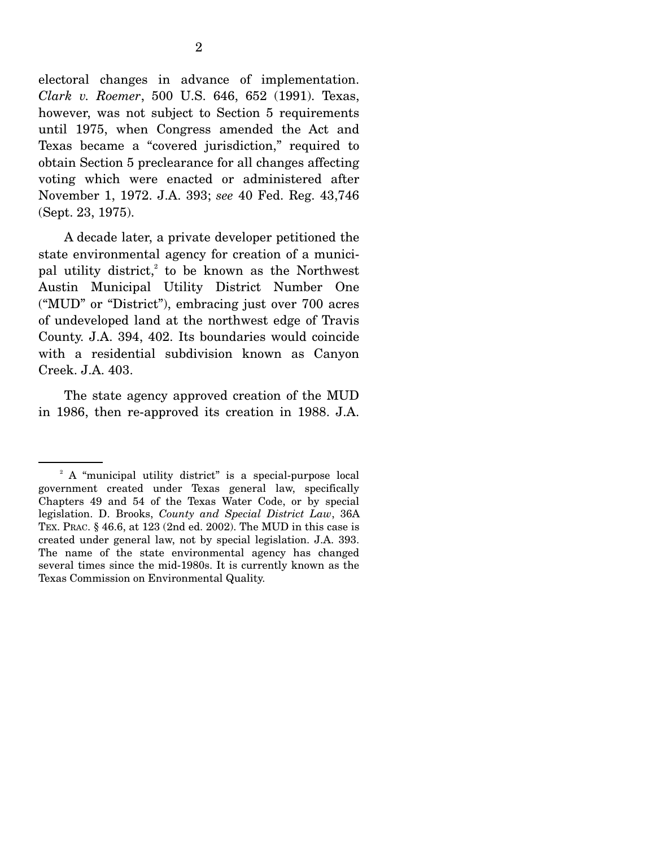electoral changes in advance of implementation. *Clark v. Roemer*, 500 U.S. 646, 652 (1991). Texas, however, was not subject to Section 5 requirements until 1975, when Congress amended the Act and Texas became a "covered jurisdiction," required to obtain Section 5 preclearance for all changes affecting voting which were enacted or administered after November 1, 1972. J.A. 393; *see* 40 Fed. Reg. 43,746 (Sept. 23, 1975).

 A decade later, a private developer petitioned the state environmental agency for creation of a municipal utility district, $2$  to be known as the Northwest Austin Municipal Utility District Number One ("MUD" or "District"), embracing just over 700 acres of undeveloped land at the northwest edge of Travis County. J.A. 394, 402. Its boundaries would coincide with a residential subdivision known as Canyon Creek. J.A. 403.

 The state agency approved creation of the MUD in 1986, then re-approved its creation in 1988. J.A.

<sup>&</sup>lt;sup>2</sup> A "municipal utility district" is a special-purpose local government created under Texas general law, specifically Chapters 49 and 54 of the Texas Water Code, or by special legislation. D. Brooks, *County and Special District Law*, 36A TEX. PRAC. § 46.6, at 123 (2nd ed. 2002). The MUD in this case is created under general law, not by special legislation. J.A. 393. The name of the state environmental agency has changed several times since the mid-1980s. It is currently known as the Texas Commission on Environmental Quality.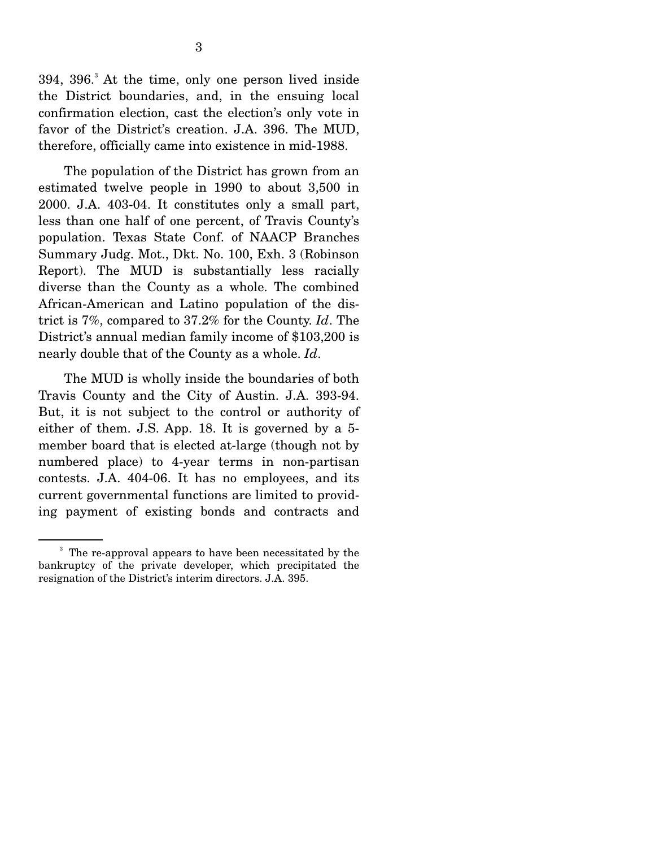394, 396.<sup>3</sup> At the time, only one person lived inside the District boundaries, and, in the ensuing local confirmation election, cast the election's only vote in favor of the District's creation. J.A. 396. The MUD, therefore, officially came into existence in mid-1988.

 The population of the District has grown from an estimated twelve people in 1990 to about 3,500 in 2000. J.A. 403-04. It constitutes only a small part, less than one half of one percent, of Travis County's population. Texas State Conf. of NAACP Branches Summary Judg. Mot., Dkt. No. 100, Exh. 3 (Robinson Report). The MUD is substantially less racially diverse than the County as a whole. The combined African-American and Latino population of the district is 7%, compared to 37.2% for the County. *Id*. The District's annual median family income of \$103,200 is nearly double that of the County as a whole. *Id*.

 The MUD is wholly inside the boundaries of both Travis County and the City of Austin. J.A. 393-94. But, it is not subject to the control or authority of either of them. J.S. App. 18. It is governed by a 5 member board that is elected at-large (though not by numbered place) to 4-year terms in non-partisan contests. J.A. 404-06. It has no employees, and its current governmental functions are limited to providing payment of existing bonds and contracts and

<sup>&</sup>lt;sup>3</sup> The re-approval appears to have been necessitated by the bankruptcy of the private developer, which precipitated the resignation of the District's interim directors. J.A. 395.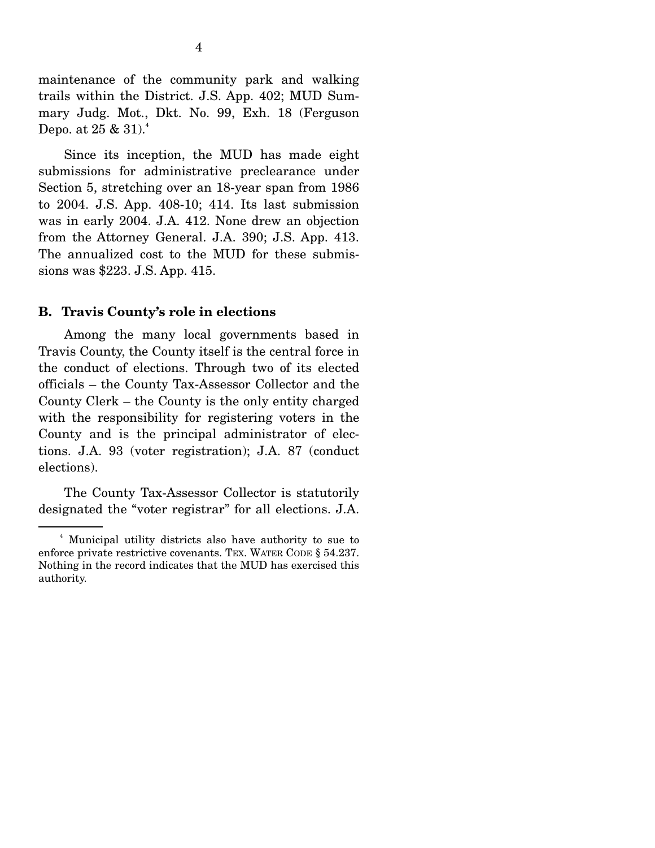maintenance of the community park and walking trails within the District. J.S. App. 402; MUD Summary Judg. Mot., Dkt. No. 99, Exh. 18 (Ferguson Depo. at  $25 \& 31$ .

 Since its inception, the MUD has made eight submissions for administrative preclearance under Section 5, stretching over an 18-year span from 1986 to 2004. J.S. App. 408-10; 414. Its last submission was in early 2004. J.A. 412. None drew an objection from the Attorney General. J.A. 390; J.S. App. 413. The annualized cost to the MUD for these submissions was \$223. J.S. App. 415.

#### **B. Travis County's role in elections**

 Among the many local governments based in Travis County, the County itself is the central force in the conduct of elections. Through two of its elected officials – the County Tax-Assessor Collector and the County Clerk – the County is the only entity charged with the responsibility for registering voters in the County and is the principal administrator of elections. J.A. 93 (voter registration); J.A. 87 (conduct elections).

 The County Tax-Assessor Collector is statutorily designated the "voter registrar" for all elections. J.A.

<sup>4</sup> Municipal utility districts also have authority to sue to enforce private restrictive covenants. TEX. WATER CODE § 54.237. Nothing in the record indicates that the MUD has exercised this authority.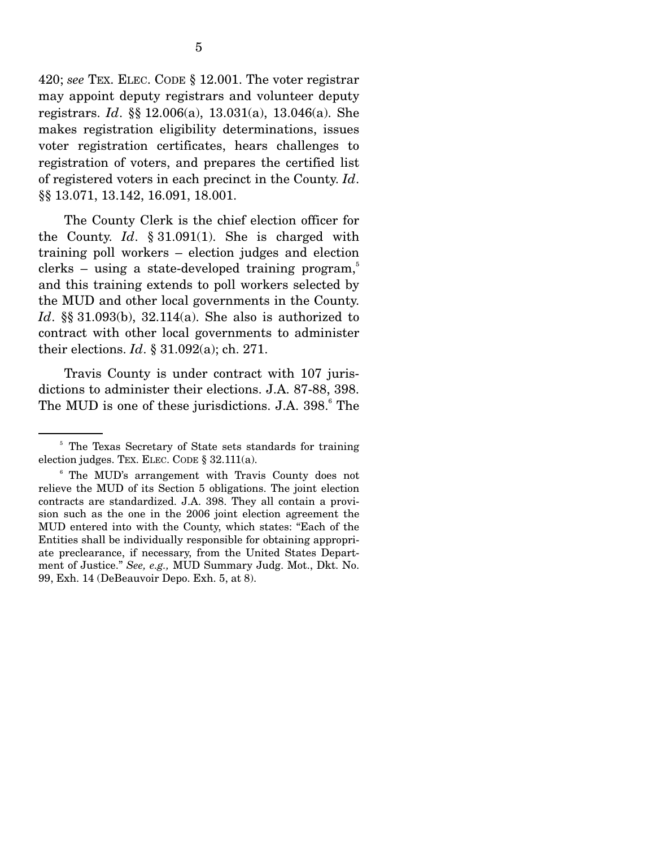420; *see* TEX. ELEC. CODE § 12.001. The voter registrar may appoint deputy registrars and volunteer deputy registrars. *Id*. §§ 12.006(a), 13.031(a), 13.046(a). She makes registration eligibility determinations, issues voter registration certificates, hears challenges to registration of voters, and prepares the certified list of registered voters in each precinct in the County. *Id*. §§ 13.071, 13.142, 16.091, 18.001.

 The County Clerk is the chief election officer for the County. *Id*. § 31.091(1). She is charged with training poll workers – election judges and election clerks – using a state-developed training program, $5$ and this training extends to poll workers selected by the MUD and other local governments in the County. *Id*. §§ 31.093(b), 32.114(a). She also is authorized to contract with other local governments to administer their elections. *Id*. § 31.092(a); ch. 271.

 Travis County is under contract with 107 jurisdictions to administer their elections. J.A. 87-88, 398. The MUD is one of these jurisdictions. J.A. 398.<sup>6</sup> The

<sup>&</sup>lt;sup>5</sup> The Texas Secretary of State sets standards for training election judges. TEX. ELEC. CODE § 32.111(a).

<sup>&</sup>lt;sup>6</sup> The MUD's arrangement with Travis County does not relieve the MUD of its Section 5 obligations. The joint election contracts are standardized. J.A. 398. They all contain a provision such as the one in the 2006 joint election agreement the MUD entered into with the County, which states: "Each of the Entities shall be individually responsible for obtaining appropriate preclearance, if necessary, from the United States Department of Justice." *See, e.g.,* MUD Summary Judg. Mot., Dkt. No. 99, Exh. 14 (DeBeauvoir Depo. Exh. 5, at 8).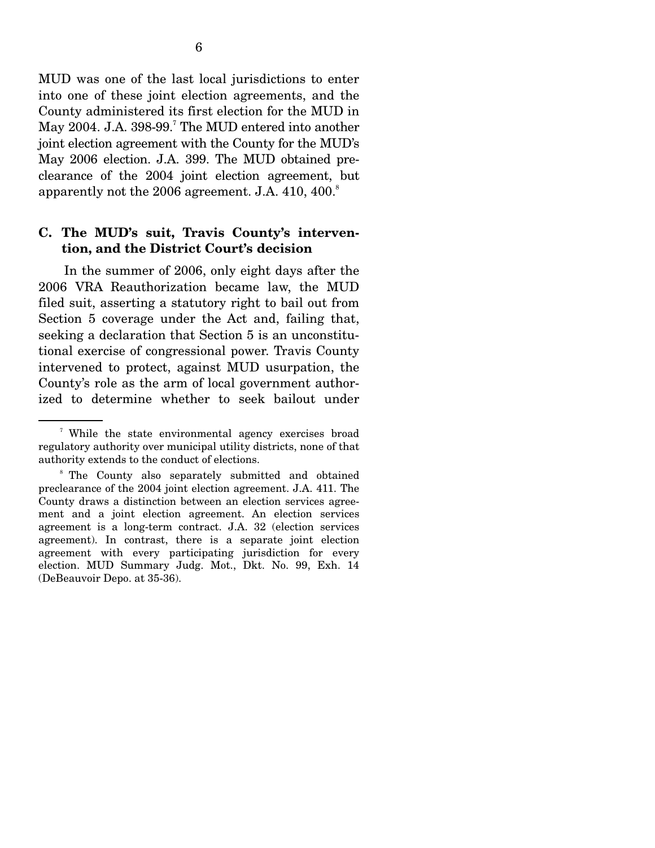MUD was one of the last local jurisdictions to enter into one of these joint election agreements, and the County administered its first election for the MUD in May 2004. J.A. 398-99.<sup>7</sup> The MUD entered into another joint election agreement with the County for the MUD's May 2006 election. J.A. 399. The MUD obtained preclearance of the 2004 joint election agreement, but apparently not the 2006 agreement. J.A.  $410, 400$ .<sup>8</sup>

#### **C. The MUD's suit, Travis County's intervention, and the District Court's decision**

 In the summer of 2006, only eight days after the 2006 VRA Reauthorization became law, the MUD filed suit, asserting a statutory right to bail out from Section 5 coverage under the Act and, failing that, seeking a declaration that Section 5 is an unconstitutional exercise of congressional power. Travis County intervened to protect, against MUD usurpation, the County's role as the arm of local government authorized to determine whether to seek bailout under

<sup>&</sup>lt;sup>7</sup> While the state environmental agency exercises broad regulatory authority over municipal utility districts, none of that authority extends to the conduct of elections.

<sup>&</sup>lt;sup>8</sup> The County also separately submitted and obtained preclearance of the 2004 joint election agreement. J.A. 411. The County draws a distinction between an election services agreement and a joint election agreement. An election services agreement is a long-term contract. J.A. 32 (election services agreement). In contrast, there is a separate joint election agreement with every participating jurisdiction for every election. MUD Summary Judg. Mot., Dkt. No. 99, Exh. 14 (DeBeauvoir Depo. at 35-36).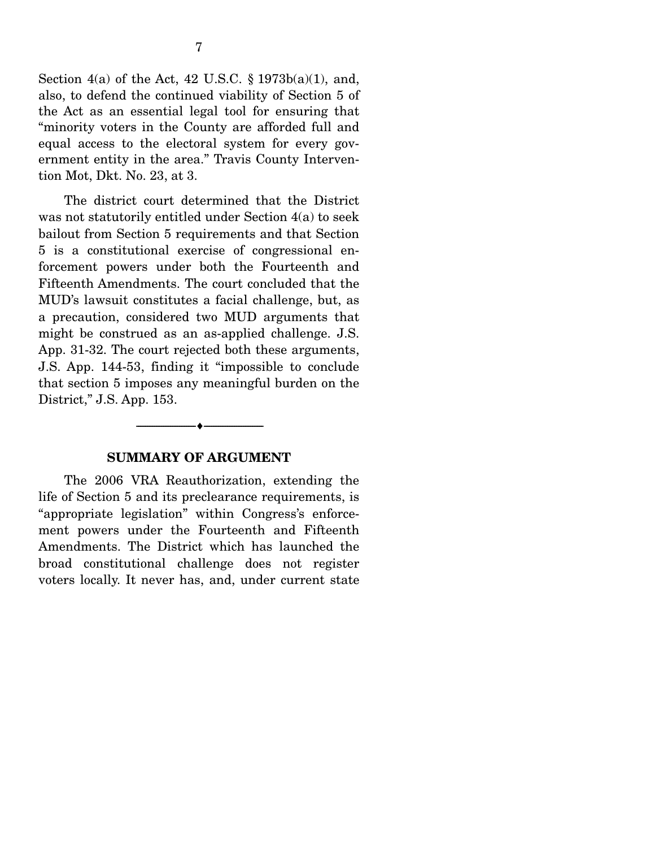Section 4(a) of the Act, 42 U.S.C. § 1973b(a)(1), and, also, to defend the continued viability of Section 5 of the Act as an essential legal tool for ensuring that "minority voters in the County are afforded full and equal access to the electoral system for every government entity in the area." Travis County Intervention Mot, Dkt. No. 23, at 3.

 The district court determined that the District was not statutorily entitled under Section 4(a) to seek bailout from Section 5 requirements and that Section 5 is a constitutional exercise of congressional enforcement powers under both the Fourteenth and Fifteenth Amendments. The court concluded that the MUD's lawsuit constitutes a facial challenge, but, as a precaution, considered two MUD arguments that might be construed as an as-applied challenge. J.S. App. 31-32. The court rejected both these arguments, J.S. App. 144-53, finding it "impossible to conclude that section 5 imposes any meaningful burden on the District," J.S. App. 153.

#### **SUMMARY OF ARGUMENT**

--------------------------------- ♦ ---------------------------------

 The 2006 VRA Reauthorization, extending the life of Section 5 and its preclearance requirements, is "appropriate legislation" within Congress's enforcement powers under the Fourteenth and Fifteenth Amendments. The District which has launched the broad constitutional challenge does not register voters locally. It never has, and, under current state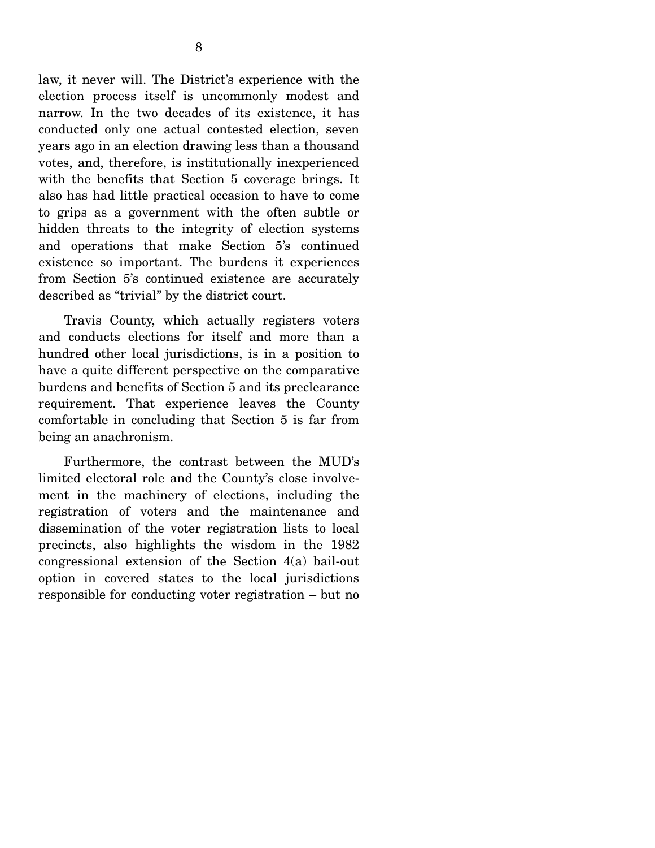law, it never will. The District's experience with the election process itself is uncommonly modest and narrow. In the two decades of its existence, it has conducted only one actual contested election, seven years ago in an election drawing less than a thousand votes, and, therefore, is institutionally inexperienced with the benefits that Section 5 coverage brings. It also has had little practical occasion to have to come to grips as a government with the often subtle or hidden threats to the integrity of election systems and operations that make Section 5's continued existence so important. The burdens it experiences from Section 5's continued existence are accurately described as "trivial" by the district court.

 Travis County, which actually registers voters and conducts elections for itself and more than a hundred other local jurisdictions, is in a position to have a quite different perspective on the comparative burdens and benefits of Section 5 and its preclearance requirement. That experience leaves the County comfortable in concluding that Section 5 is far from being an anachronism.

 Furthermore, the contrast between the MUD's limited electoral role and the County's close involvement in the machinery of elections, including the registration of voters and the maintenance and dissemination of the voter registration lists to local precincts, also highlights the wisdom in the 1982 congressional extension of the Section 4(a) bail-out option in covered states to the local jurisdictions responsible for conducting voter registration – but no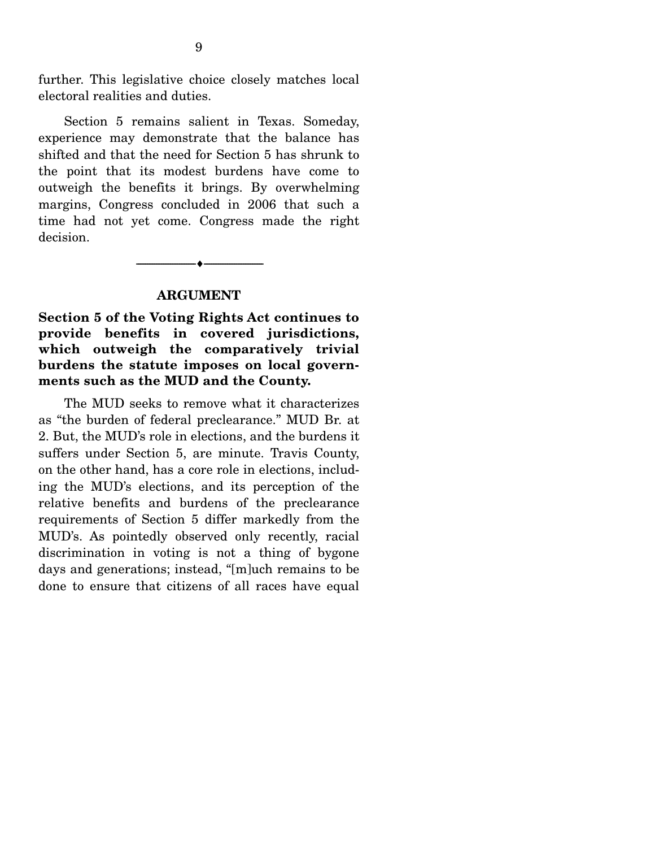further. This legislative choice closely matches local electoral realities and duties.

 Section 5 remains salient in Texas. Someday, experience may demonstrate that the balance has shifted and that the need for Section 5 has shrunk to the point that its modest burdens have come to outweigh the benefits it brings. By overwhelming margins, Congress concluded in 2006 that such a time had not yet come. Congress made the right decision.

#### **ARGUMENT**

--------------------------------- ♦ ---------------------------------

**Section 5 of the Voting Rights Act continues to provide benefits in covered jurisdictions, which outweigh the comparatively trivial burdens the statute imposes on local governments such as the MUD and the County.** 

 The MUD seeks to remove what it characterizes as "the burden of federal preclearance." MUD Br. at 2. But, the MUD's role in elections, and the burdens it suffers under Section 5, are minute. Travis County, on the other hand, has a core role in elections, including the MUD's elections, and its perception of the relative benefits and burdens of the preclearance requirements of Section 5 differ markedly from the MUD's. As pointedly observed only recently, racial discrimination in voting is not a thing of bygone days and generations; instead, "[m]uch remains to be done to ensure that citizens of all races have equal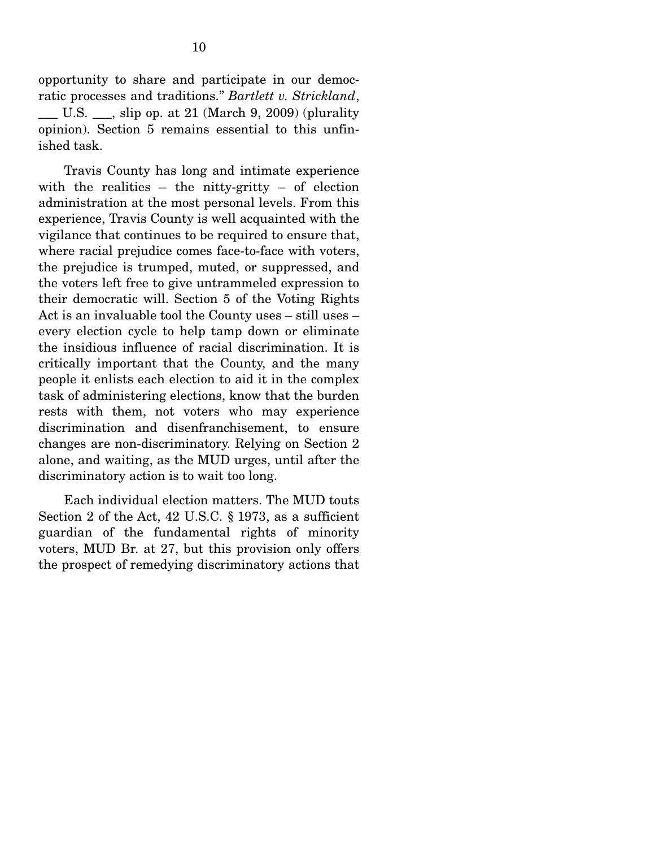opportunity to share and participate in our democratic processes and traditions." *Bartlett v. Strickland*, U.S.  $\qquad$ , slip op. at 21 (March 9, 2009) (plurality opinion). Section 5 remains essential to this unfinished task.

 Travis County has long and intimate experience with the realities – the nitty-gritty – of election administration at the most personal levels. From this experience, Travis County is well acquainted with the vigilance that continues to be required to ensure that, where racial prejudice comes face-to-face with voters, the prejudice is trumped, muted, or suppressed, and the voters left free to give untrammeled expression to their democratic will. Section 5 of the Voting Rights Act is an invaluable tool the County uses – still uses – every election cycle to help tamp down or eliminate the insidious influence of racial discrimination. It is critically important that the County, and the many people it enlists each election to aid it in the complex task of administering elections, know that the burden rests with them, not voters who may experience discrimination and disenfranchisement, to ensure changes are non-discriminatory. Relying on Section 2 alone, and waiting, as the MUD urges, until after the discriminatory action is to wait too long.

 Each individual election matters. The MUD touts Section 2 of the Act, 42 U.S.C. § 1973, as a sufficient guardian of the fundamental rights of minority voters, MUD Br. at 27, but this provision only offers the prospect of remedying discriminatory actions that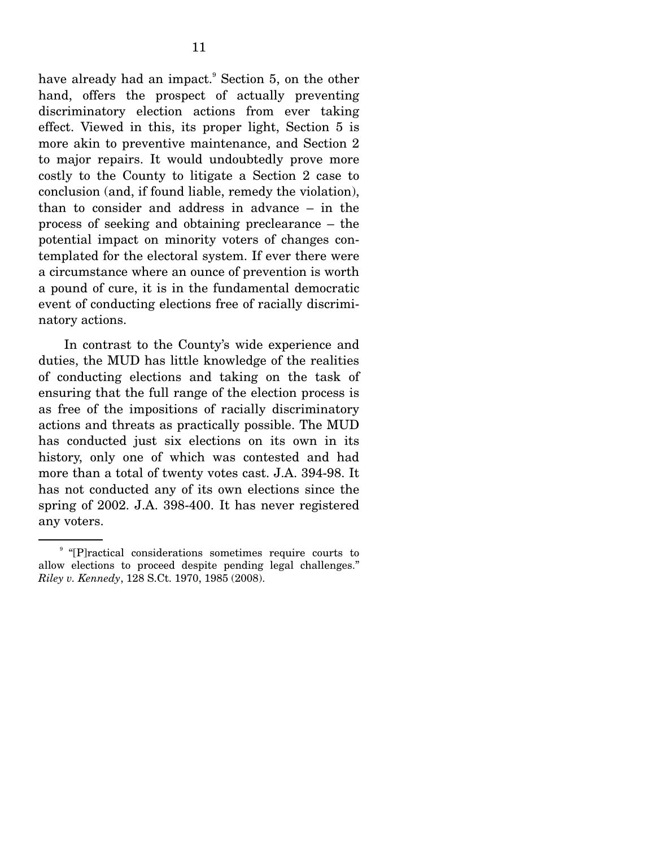have already had an impact.<sup>9</sup> Section 5, on the other hand, offers the prospect of actually preventing discriminatory election actions from ever taking effect. Viewed in this, its proper light, Section 5 is more akin to preventive maintenance, and Section 2 to major repairs. It would undoubtedly prove more costly to the County to litigate a Section 2 case to conclusion (and, if found liable, remedy the violation), than to consider and address in advance – in the process of seeking and obtaining preclearance – the potential impact on minority voters of changes contemplated for the electoral system. If ever there were a circumstance where an ounce of prevention is worth a pound of cure, it is in the fundamental democratic event of conducting elections free of racially discriminatory actions.

 In contrast to the County's wide experience and duties, the MUD has little knowledge of the realities of conducting elections and taking on the task of ensuring that the full range of the election process is as free of the impositions of racially discriminatory actions and threats as practically possible. The MUD has conducted just six elections on its own in its history, only one of which was contested and had more than a total of twenty votes cast. J.A. 394-98. It has not conducted any of its own elections since the spring of 2002. J.A. 398-400. It has never registered any voters.

<sup>&</sup>lt;sup>9</sup> "[P]ractical considerations sometimes require courts to allow elections to proceed despite pending legal challenges." *Riley v. Kennedy*, 128 S.Ct. 1970, 1985 (2008).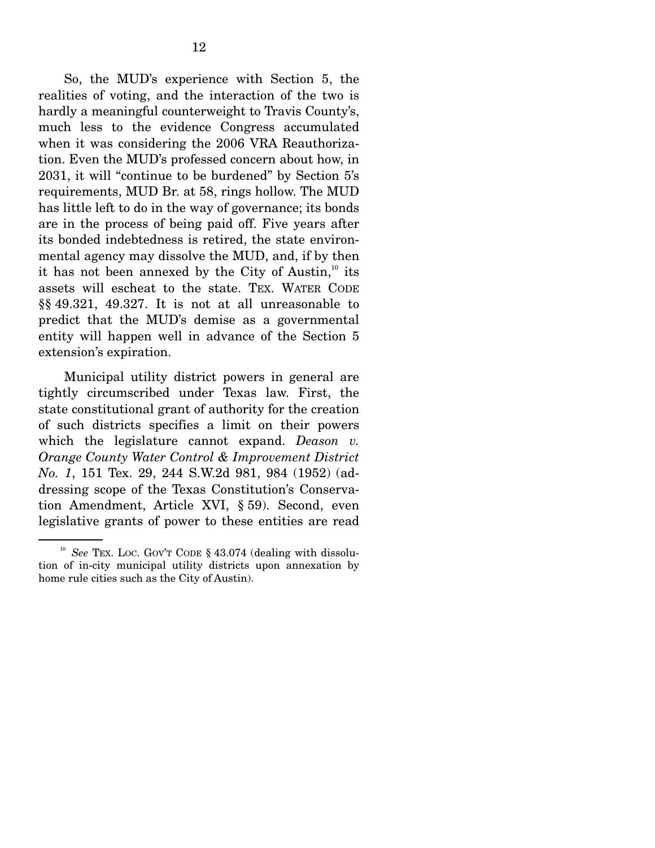So, the MUD's experience with Section 5, the realities of voting, and the interaction of the two is hardly a meaningful counterweight to Travis County's, much less to the evidence Congress accumulated when it was considering the 2006 VRA Reauthorization. Even the MUD's professed concern about how, in 2031, it will "continue to be burdened" by Section 5's requirements, MUD Br. at 58, rings hollow. The MUD has little left to do in the way of governance; its bonds are in the process of being paid off. Five years after its bonded indebtedness is retired, the state environmental agency may dissolve the MUD, and, if by then it has not been annexed by the City of Austin, $10$  its assets will escheat to the state. TEX. WATER CODE §§ 49.321, 49.327. It is not at all unreasonable to predict that the MUD's demise as a governmental entity will happen well in advance of the Section 5 extension's expiration.

 Municipal utility district powers in general are tightly circumscribed under Texas law. First, the state constitutional grant of authority for the creation of such districts specifies a limit on their powers which the legislature cannot expand. *Deason v. Orange County Water Control & Improvement District No. 1*, 151 Tex. 29, 244 S.W.2d 981, 984 (1952) (addressing scope of the Texas Constitution's Conservation Amendment, Article XVI, § 59). Second, even legislative grants of power to these entities are read

<sup>&</sup>lt;sup>10</sup> *See* TEX. LOC. GOV'T CODE § 43.074 (dealing with dissolution of in-city municipal utility districts upon annexation by home rule cities such as the City of Austin).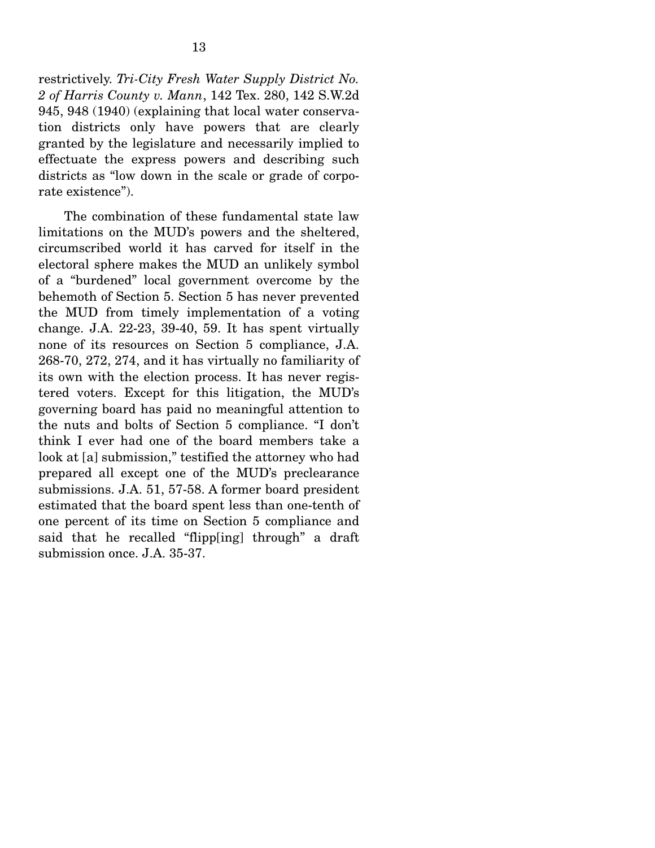restrictively. *Tri-City Fresh Water Supply District No. 2 of Harris County v. Mann*, 142 Tex. 280, 142 S.W.2d 945, 948 (1940) (explaining that local water conservation districts only have powers that are clearly granted by the legislature and necessarily implied to effectuate the express powers and describing such districts as "low down in the scale or grade of corporate existence").

 The combination of these fundamental state law limitations on the MUD's powers and the sheltered, circumscribed world it has carved for itself in the electoral sphere makes the MUD an unlikely symbol of a "burdened" local government overcome by the behemoth of Section 5. Section 5 has never prevented the MUD from timely implementation of a voting change. J.A. 22-23, 39-40, 59. It has spent virtually none of its resources on Section 5 compliance, J.A. 268-70, 272, 274, and it has virtually no familiarity of its own with the election process. It has never registered voters. Except for this litigation, the MUD's governing board has paid no meaningful attention to the nuts and bolts of Section 5 compliance. "I don't think I ever had one of the board members take a look at [a] submission," testified the attorney who had prepared all except one of the MUD's preclearance submissions. J.A. 51, 57-58. A former board president estimated that the board spent less than one-tenth of one percent of its time on Section 5 compliance and said that he recalled "flipp[ing] through" a draft submission once. J.A. 35-37.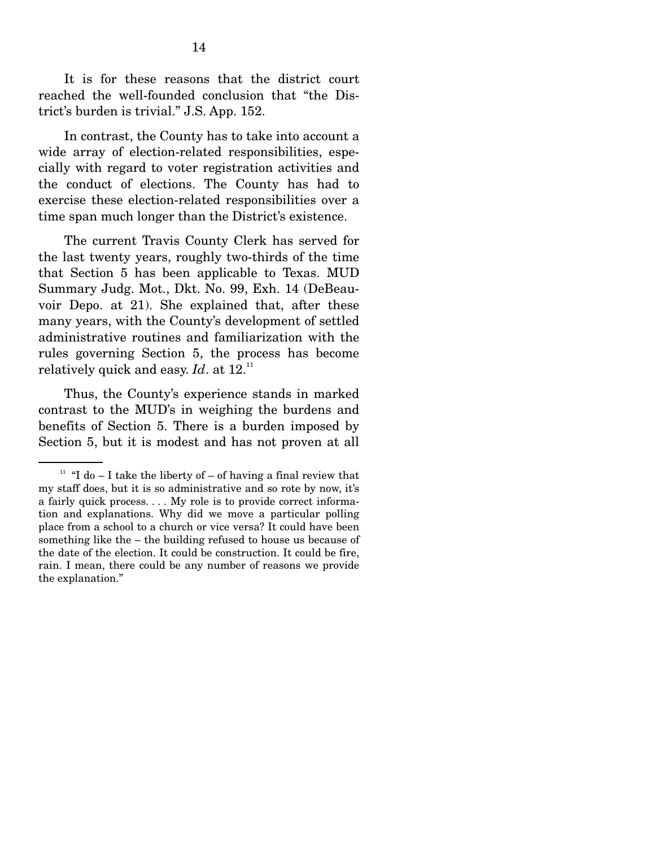It is for these reasons that the district court reached the well-founded conclusion that "the District's burden is trivial." J.S. App. 152.

 In contrast, the County has to take into account a wide array of election-related responsibilities, especially with regard to voter registration activities and the conduct of elections. The County has had to exercise these election-related responsibilities over a time span much longer than the District's existence.

 The current Travis County Clerk has served for the last twenty years, roughly two-thirds of the time that Section 5 has been applicable to Texas. MUD Summary Judg. Mot., Dkt. No. 99, Exh. 14 (DeBeauvoir Depo. at 21). She explained that, after these many years, with the County's development of settled administrative routines and familiarization with the rules governing Section 5, the process has become relatively quick and easy. *Id*. at 12.11

 Thus, the County's experience stands in marked contrast to the MUD's in weighing the burdens and benefits of Section 5. There is a burden imposed by Section 5, but it is modest and has not proven at all

<sup>&</sup>lt;sup>11</sup> "I do – I take the liberty of – of having a final review that my staff does, but it is so administrative and so rote by now, it's a fairly quick process. . . . My role is to provide correct information and explanations. Why did we move a particular polling place from a school to a church or vice versa? It could have been something like the – the building refused to house us because of the date of the election. It could be construction. It could be fire, rain. I mean, there could be any number of reasons we provide the explanation."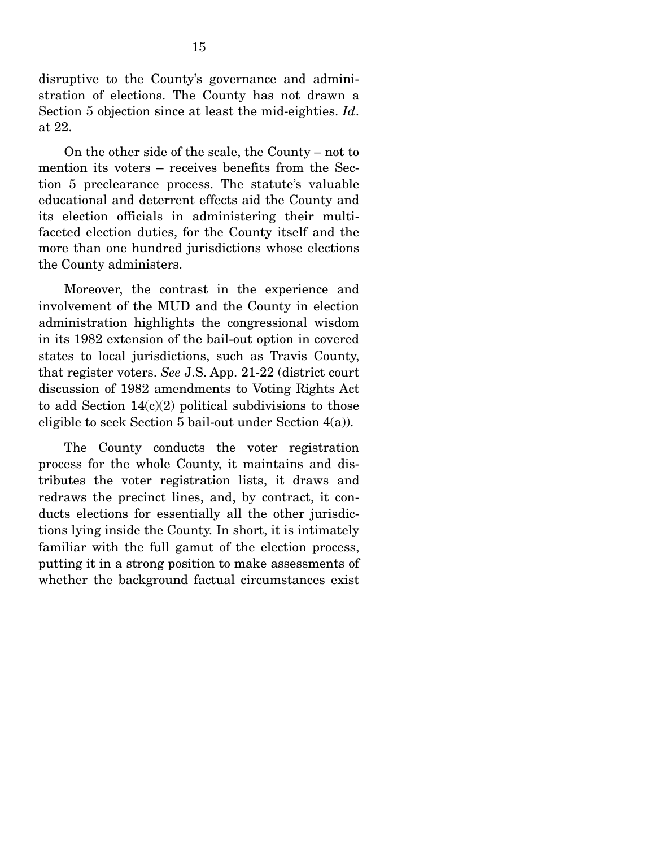disruptive to the County's governance and administration of elections. The County has not drawn a Section 5 objection since at least the mid-eighties. *Id*. at 22.

 On the other side of the scale, the County – not to mention its voters – receives benefits from the Section 5 preclearance process. The statute's valuable educational and deterrent effects aid the County and its election officials in administering their multifaceted election duties, for the County itself and the more than one hundred jurisdictions whose elections the County administers.

 Moreover, the contrast in the experience and involvement of the MUD and the County in election administration highlights the congressional wisdom in its 1982 extension of the bail-out option in covered states to local jurisdictions, such as Travis County, that register voters. *See* J.S. App. 21-22 (district court discussion of 1982 amendments to Voting Rights Act to add Section  $14(c)(2)$  political subdivisions to those eligible to seek Section 5 bail-out under Section  $4(a)$ ).

 The County conducts the voter registration process for the whole County, it maintains and distributes the voter registration lists, it draws and redraws the precinct lines, and, by contract, it conducts elections for essentially all the other jurisdictions lying inside the County. In short, it is intimately familiar with the full gamut of the election process, putting it in a strong position to make assessments of whether the background factual circumstances exist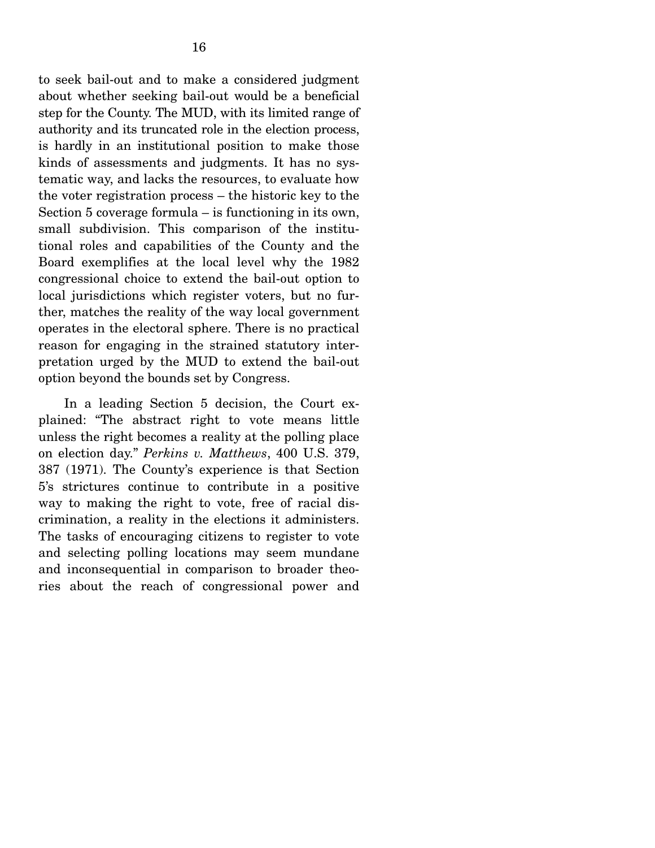to seek bail-out and to make a considered judgment about whether seeking bail-out would be a beneficial step for the County. The MUD, with its limited range of authority and its truncated role in the election process, is hardly in an institutional position to make those kinds of assessments and judgments. It has no systematic way, and lacks the resources, to evaluate how the voter registration process – the historic key to the Section 5 coverage formula – is functioning in its own, small subdivision. This comparison of the institutional roles and capabilities of the County and the Board exemplifies at the local level why the 1982 congressional choice to extend the bail-out option to local jurisdictions which register voters, but no further, matches the reality of the way local government operates in the electoral sphere. There is no practical reason for engaging in the strained statutory interpretation urged by the MUD to extend the bail-out option beyond the bounds set by Congress.

 In a leading Section 5 decision, the Court explained: "The abstract right to vote means little unless the right becomes a reality at the polling place on election day." *Perkins v. Matthews*, 400 U.S. 379, 387 (1971). The County's experience is that Section 5's strictures continue to contribute in a positive way to making the right to vote, free of racial discrimination, a reality in the elections it administers. The tasks of encouraging citizens to register to vote and selecting polling locations may seem mundane and inconsequential in comparison to broader theories about the reach of congressional power and